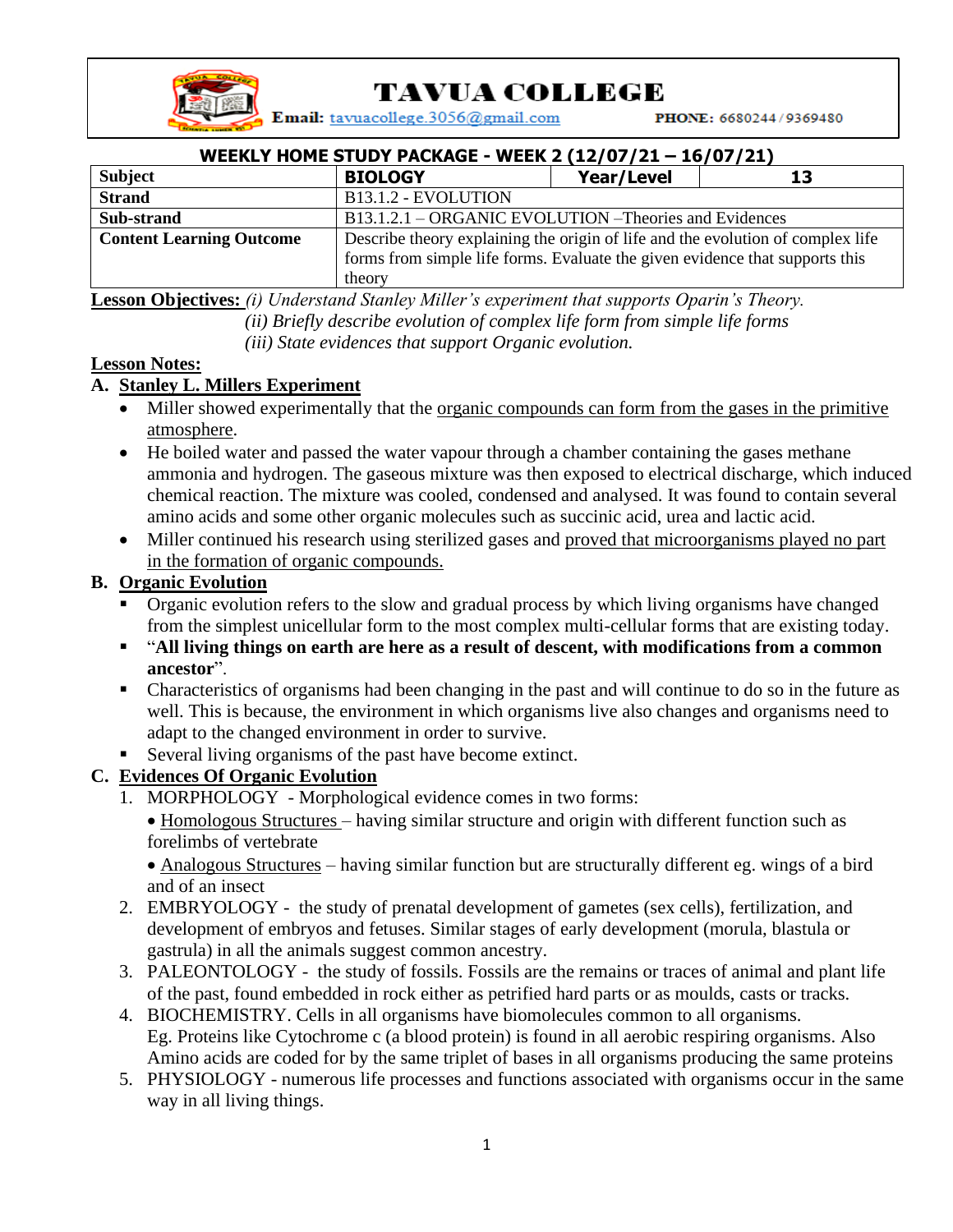

# TAVUA COLLEGE

Email: tavuacollege.3056@gmail.com

PHONE: 6680244/9369480

| WEEKLY HOME STUDY PACKAGE - WEEK 2 (12/07/21 - 16/07/21) |                                                                                 |                   |    |
|----------------------------------------------------------|---------------------------------------------------------------------------------|-------------------|----|
| Subject                                                  | <b>BIOLOGY</b>                                                                  | <b>Year/Level</b> | 13 |
| <b>Strand</b>                                            | B13.1.2 - EVOLUTION                                                             |                   |    |
| Sub-strand                                               | B13.1.2.1 – ORGANIC EVOLUTION – Theories and Evidences                          |                   |    |
| <b>Content Learning Outcome</b>                          | Describe theory explaining the origin of life and the evolution of complex life |                   |    |
|                                                          | forms from simple life forms. Evaluate the given evidence that supports this    |                   |    |
|                                                          | theory                                                                          |                   |    |

**Lesson Objectives:** *(i) Understand Stanley Miller's experiment that supports Oparin's Theory. (ii) Briefly describe evolution of complex life form from simple life forms (iii) State evidences that support Organic evolution.*

### **Lesson Notes:**

## **A. Stanley L. Millers Experiment**

- Miller showed experimentally that the <u>organic compounds can form from the gases in the primitive</u> atmosphere.
- He boiled water and passed the water vapour through a chamber containing the gases methane ammonia and hydrogen. The gaseous mixture was then exposed to electrical discharge, which induced chemical reaction. The mixture was cooled, condensed and analysed. It was found to contain several amino acids and some other organic molecules such as succinic acid, urea and lactic acid.
- Miller continued his research using sterilized gases and proved that microorganisms played no part in the formation of organic compounds.

# **B. Organic Evolution**

- Organic evolution refers to the slow and gradual process by which living organisms have changed from the simplest unicellular form to the most complex multi-cellular forms that are existing today.
- "**All living things on earth are here as a result of descent, with modifications from a common ancestor**".
- Characteristics of organisms had been changing in the past and will continue to do so in the future as well. This is because, the environment in which organisms live also changes and organisms need to adapt to the changed environment in order to survive.
- Several living organisms of the past have become extinct.

# **C. Evidences Of Organic Evolution**

1. MORPHOLOGY - Morphological evidence comes in two forms:

• Homologous Structures – having similar structure and origin with different function such as forelimbs of vertebrate

• Analogous Structures – having similar function but are structurally different eg. wings of a bird and of an insect

- 2. EMBRYOLOGY the study of prenatal development of gametes (sex cells), fertilization, and development of embryos and fetuses. Similar stages of early development (morula, blastula or gastrula) in all the animals suggest common ancestry.
- 3. PALEONTOLOGY the study of fossils. Fossils are the remains or traces of animal and plant life of the past, found embedded in rock either as petrified hard parts or as moulds, casts or tracks.
- 4. BIOCHEMISTRY. Cells in all organisms have biomolecules common to all organisms. Eg. Proteins like Cytochrome c (a blood protein) is found in all aerobic respiring organisms. Also Amino acids are coded for by the same triplet of bases in all organisms producing the same proteins
- 5. PHYSIOLOGY numerous life processes and functions associated with organisms occur in the same way in all living things.